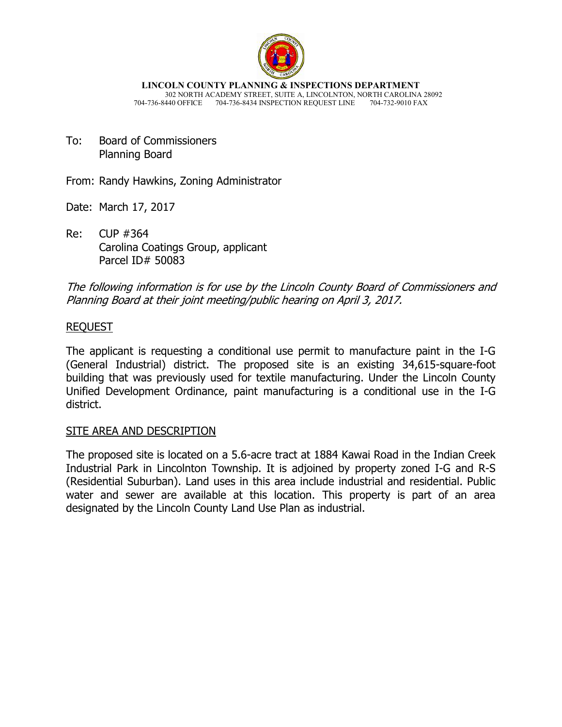

**LINCOLN COUNTY PLANNING & INSPECTIONS DEPARTMENT** 302 NORTH ACADEMY STREET, SUITE A, LINCOLNTON, NORTH CAROLINA 28092 704-736-8440 OFFICE 704-736-8434 INSPECTION REQUEST LINE

To: Board of Commissioners Planning Board

From: Randy Hawkins, Zoning Administrator

Date: March 17, 2017

Re: CUP #364 Carolina Coatings Group, applicant Parcel ID# 50083

The following information is for use by the Lincoln County Board of Commissioners and Planning Board at their joint meeting/public hearing on April 3, 2017.

## REQUEST

The applicant is requesting a conditional use permit to manufacture paint in the I-G (General Industrial) district. The proposed site is an existing 34,615-square-foot building that was previously used for textile manufacturing. Under the Lincoln County Unified Development Ordinance, paint manufacturing is a conditional use in the I-G district.

### SITE AREA AND DESCRIPTION

The proposed site is located on a 5.6-acre tract at 1884 Kawai Road in the Indian Creek Industrial Park in Lincolnton Township. It is adjoined by property zoned I-G and R-S (Residential Suburban). Land uses in this area include industrial and residential. Public water and sewer are available at this location. This property is part of an area designated by the Lincoln County Land Use Plan as industrial.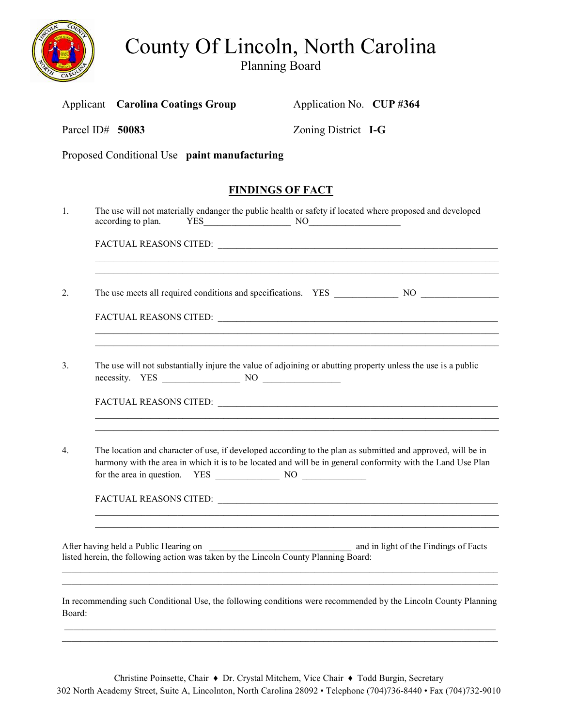

# County Of Lincoln, North Carolina

Planning Board

|                  |                                                                                                                                                                                                                            | <b>Applicant</b> Carolina Coatings Group                                                                                                                              | Application No. CUP#364                                                                                        |
|------------------|----------------------------------------------------------------------------------------------------------------------------------------------------------------------------------------------------------------------------|-----------------------------------------------------------------------------------------------------------------------------------------------------------------------|----------------------------------------------------------------------------------------------------------------|
|                  |                                                                                                                                                                                                                            | Parcel ID# 50083                                                                                                                                                      | Zoning District I-G                                                                                            |
|                  |                                                                                                                                                                                                                            | Proposed Conditional Use paint manufacturing                                                                                                                          |                                                                                                                |
|                  |                                                                                                                                                                                                                            | <b>FINDINGS OF FACT</b>                                                                                                                                               |                                                                                                                |
| 1.               |                                                                                                                                                                                                                            | according to plan.<br>$YES$ NO NO                                                                                                                                     | The use will not materially endanger the public health or safety if located where proposed and developed       |
|                  |                                                                                                                                                                                                                            |                                                                                                                                                                       |                                                                                                                |
| 2.               |                                                                                                                                                                                                                            |                                                                                                                                                                       | ,我们也不能在这里的人,我们也不能在这里的人,我们也不能在这里的人,我们也不能在这里的人,我们也不能在这里的人,我们也不能在这里的人,我们也不能在这里的人,我们也                              |
|                  |                                                                                                                                                                                                                            |                                                                                                                                                                       | ,我们也不能在这里的时候,我们也不能在这里的时候,我们也不能在这里的时候,我们也不能会在这里的时候,我们也不能会在这里的时候,我们也不能会在这里的时候,我们也不                               |
| 3.               | The use will not substantially injure the value of adjoining or abutting property unless the use is a public                                                                                                               |                                                                                                                                                                       |                                                                                                                |
|                  |                                                                                                                                                                                                                            |                                                                                                                                                                       |                                                                                                                |
| $\overline{4}$ . | The location and character of use, if developed according to the plan as submitted and approved, will be in<br>harmony with the area in which it is to be located and will be in general conformity with the Land Use Plan |                                                                                                                                                                       |                                                                                                                |
|                  |                                                                                                                                                                                                                            |                                                                                                                                                                       |                                                                                                                |
|                  |                                                                                                                                                                                                                            | After having held a Public Hearing on<br>Atter having held a Public Hearing on<br>listed herein, the following action was taken by the Lincoln County Planning Board: | and in light of the Findings of Facts                                                                          |
| Board:           |                                                                                                                                                                                                                            |                                                                                                                                                                       | In recommending such Conditional Use, the following conditions were recommended by the Lincoln County Planning |

 $\_$  ,  $\_$  ,  $\_$  ,  $\_$  ,  $\_$  ,  $\_$  ,  $\_$  ,  $\_$  ,  $\_$  ,  $\_$  ,  $\_$  ,  $\_$  ,  $\_$  ,  $\_$  ,  $\_$  ,  $\_$  ,  $\_$  ,  $\_$  ,  $\_$  ,  $\_$  ,  $\_$  ,  $\_$  ,  $\_$  ,  $\_$  ,  $\_$  ,  $\_$  ,  $\_$  ,  $\_$  ,  $\_$  ,  $\_$  ,  $\_$  ,  $\_$  ,  $\_$  ,  $\_$  ,  $\_$  ,  $\_$  ,  $\_$  ,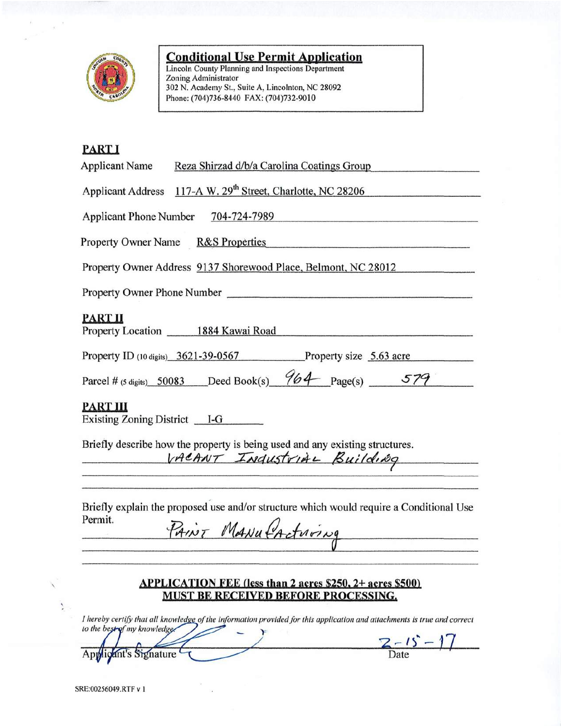

# **Conditional Use Permit Application**<br>Lincoln County Planning and Inspections Department

Zoning Administrator<br>302 N. Academy St., Suite A, Lincolnton, NC 28092 Phone: (704)736-8440 FAX: (704)732-9010

# **PART I**

| --------<br><b>Applicant Name</b><br>Reza Shirzad d/b/a Carolina Coatings Group                                                                                                                                                                                                                                                                                                                                                                                                                                                           |  |  |  |  |
|-------------------------------------------------------------------------------------------------------------------------------------------------------------------------------------------------------------------------------------------------------------------------------------------------------------------------------------------------------------------------------------------------------------------------------------------------------------------------------------------------------------------------------------------|--|--|--|--|
| Applicant Address 117-A W. 29 <sup>th</sup> Street, Charlotte, NC 28206                                                                                                                                                                                                                                                                                                                                                                                                                                                                   |  |  |  |  |
| Applicant Phone Number 704-724-7989                                                                                                                                                                                                                                                                                                                                                                                                                                                                                                       |  |  |  |  |
| Property Owner Name R&S Properties                                                                                                                                                                                                                                                                                                                                                                                                                                                                                                        |  |  |  |  |
| Property Owner Address 9137 Shorewood Place, Belmont, NC 28012                                                                                                                                                                                                                                                                                                                                                                                                                                                                            |  |  |  |  |
|                                                                                                                                                                                                                                                                                                                                                                                                                                                                                                                                           |  |  |  |  |
| <b>PART II</b><br>Property Location 1884 Kawai Road                                                                                                                                                                                                                                                                                                                                                                                                                                                                                       |  |  |  |  |
| Property ID (10 digits) 3621-39-0567 Property size 5.63 acre                                                                                                                                                                                                                                                                                                                                                                                                                                                                              |  |  |  |  |
| Parcel # (5 digits) 50083 Deed Book(s) $964$ Page(s) 579                                                                                                                                                                                                                                                                                                                                                                                                                                                                                  |  |  |  |  |
| <b>PART III</b><br>Existing Zoning District $I-G$                                                                                                                                                                                                                                                                                                                                                                                                                                                                                         |  |  |  |  |
| Briefly describe how the property is being used and any existing structures.<br>VACANT INDUSTRIAL Building                                                                                                                                                                                                                                                                                                                                                                                                                                |  |  |  |  |
| Briefly explain the proposed use and/or structure which would require a Conditional Use<br>Permit.<br>PAINT MANU PActuring<br>$\frac{d\mathbf{y}}{dt} = \frac{d\mathbf{y}}{dt} + \frac{d\mathbf{y}}{dt} + \frac{d\mathbf{y}}{dt} + \frac{d\mathbf{y}}{dt} + \frac{d\mathbf{y}}{dt} + \frac{d\mathbf{y}}{dt} + \frac{d\mathbf{y}}{dt} + \frac{d\mathbf{y}}{dt} + \frac{d\mathbf{y}}{dt} + \frac{d\mathbf{y}}{dt} + \frac{d\mathbf{y}}{dt} + \frac{d\mathbf{y}}{dt} + \frac{d\mathbf{y}}{dt} + \frac{d\mathbf{y}}{dt} + \frac{d\mathbf{y}}$ |  |  |  |  |
| <b>APPLICATION FEE (less than 2 acres \$250, 2+ acres \$500)</b><br><b>MUST BE RECEIVED BEFORE PROCESSING.</b>                                                                                                                                                                                                                                                                                                                                                                                                                            |  |  |  |  |

I hereby certify that all knowledge of the information provided for this application and attachments is true and correct to the best of my knowledge.  $\mathbf{r}$  $\frac{7-15-17}{\text{Date}}$ 

Applicant's Signature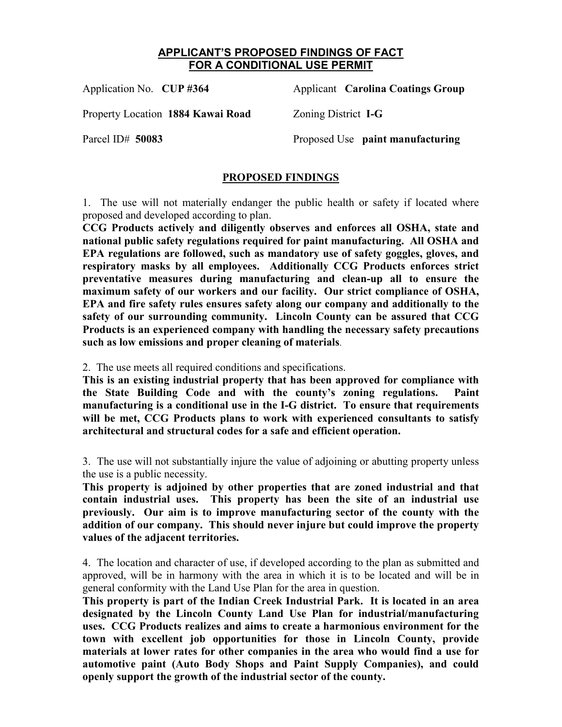#### **APPLICANT'S PROPOSED FINDINGS OF FACT FOR A CONDITIONAL USE PERMIT**

Property Location **1884 Kawai Road** Zoning District **I-G**

Application No. **CUP #364** Applicant **Carolina Coatings Group**

Parcel ID# **50083** Proposed Use **paint manufacturing** 

### **PROPOSED FINDINGS**

1. The use will not materially endanger the public health or safety if located where proposed and developed according to plan.

**CCG Products actively and diligently observes and enforces all OSHA, state and national public safety regulations required for paint manufacturing. All OSHA and EPA regulations are followed, such as mandatory use of safety goggles, gloves, and respiratory masks by all employees. Additionally CCG Products enforces strict preventative measures during manufacturing and clean-up all to ensure the maximum safety of our workers and our facility. Our strict compliance of OSHA, EPA and fire safety rules ensures safety along our company and additionally to the safety of our surrounding community. Lincoln County can be assured that CCG Products is an experienced company with handling the necessary safety precautions such as low emissions and proper cleaning of materials**.

2. The use meets all required conditions and specifications.

**This is an existing industrial property that has been approved for compliance with the State Building Code and with the county's zoning regulations. Paint manufacturing is a conditional use in the I-G district. To ensure that requirements will be met, CCG Products plans to work with experienced consultants to satisfy architectural and structural codes for a safe and efficient operation.** 

3. The use will not substantially injure the value of adjoining or abutting property unless the use is a public necessity.

**This property is adjoined by other properties that are zoned industrial and that contain industrial uses. This property has been the site of an industrial use previously. Our aim is to improve manufacturing sector of the county with the addition of our company. This should never injure but could improve the property values of the adjacent territories.** 

4. The location and character of use, if developed according to the plan as submitted and approved, will be in harmony with the area in which it is to be located and will be in general conformity with the Land Use Plan for the area in question.

**This property is part of the Indian Creek Industrial Park. It is located in an area designated by the Lincoln County Land Use Plan for industrial/manufacturing uses. CCG Products realizes and aims to create a harmonious environment for the town with excellent job opportunities for those in Lincoln County, provide materials at lower rates for other companies in the area who would find a use for automotive paint (Auto Body Shops and Paint Supply Companies), and could openly support the growth of the industrial sector of the county.**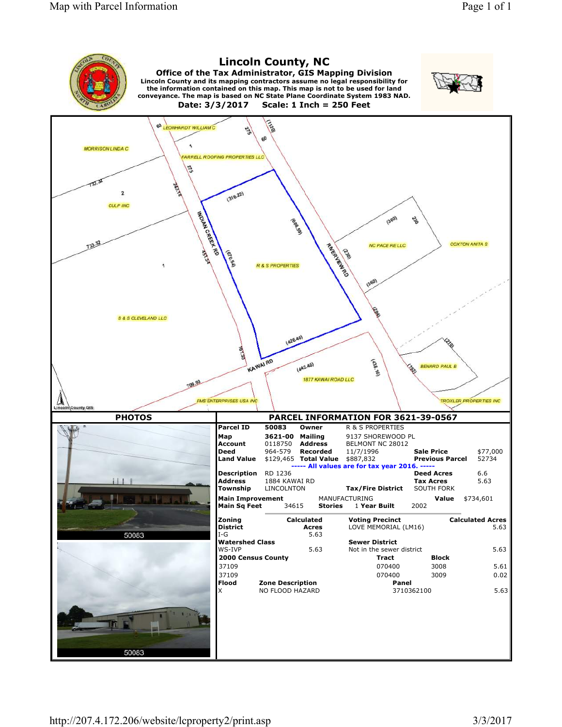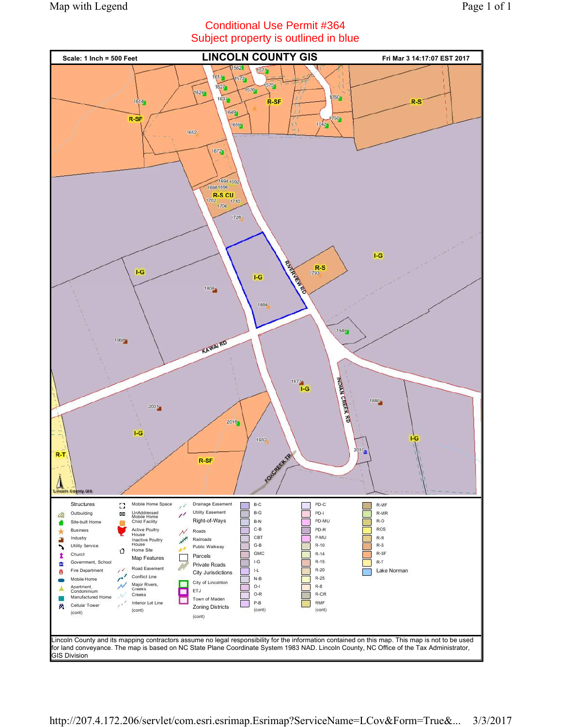